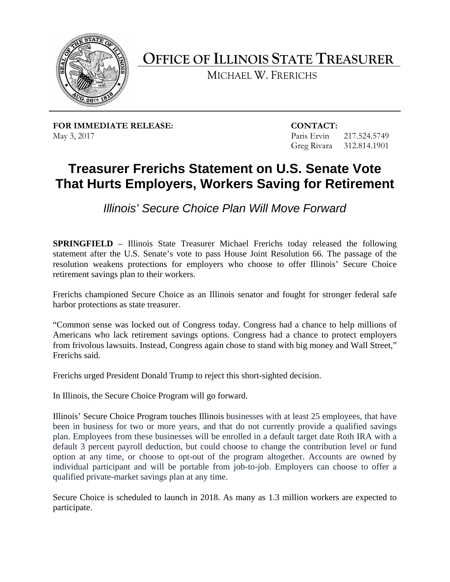

**OFFICE OF ILLINOIS STATE TREASURER** 

MICHAEL W. FRERICHS

**FOR IMMEDIATE RELEASE: CONTACT:** May 3, 2017 217.524.5749

Greg Rivara 312.814.1901

## **That Hurts Employers, Workers Saving for Retirement Treasurer Frerichs Statement on U.S. Senate Vote**

*Illinois' Secure Choice Plan Will Move Forward* 

 **SPRINGFIELD** – Illinois State Treasurer Michael Frerichs today released the following statement after the U.S. Senate's vote to pass House Joint Resolution 66. The passage of the resolution weakens protections for employers who choose to offer Illinois' Secure Choice retirement savings plan to their workers.

 Frerichs championed Secure Choice as an Illinois senator and fought for stronger federal safe harbor protections as state treasurer.

 "Common sense was locked out of Congress today. Congress had a chance to help millions of from frivolous lawsuits. Instead, Congress again chose to stand with big money and Wall Street," Frerichs said. Americans who lack retirement savings options. Congress had a chance to protect employers

Frerichs urged President Donald Trump to reject this short-sighted decision.

In Illinois, the Secure Choice Program will go forward.

 Illinois' Secure Choice Program touches Illinois businesses with at least 25 employees, that have plan. Employees from these businesses will be enrolled in a default target date Roth IRA with a default 3 percent payroll deduction, but could choose to change the contribution level or fund been in business for two or more years, and that do not currently provide a qualified savings option at any time, or choose to opt-out of the program altogether. Accounts are owned by individual participant and will be portable from job-to-job. Employers can choose to offer a qualified private-market savings plan at any time.

Secure Choice is scheduled to launch in 2018. As many as 1.3 million workers are expected to participate.